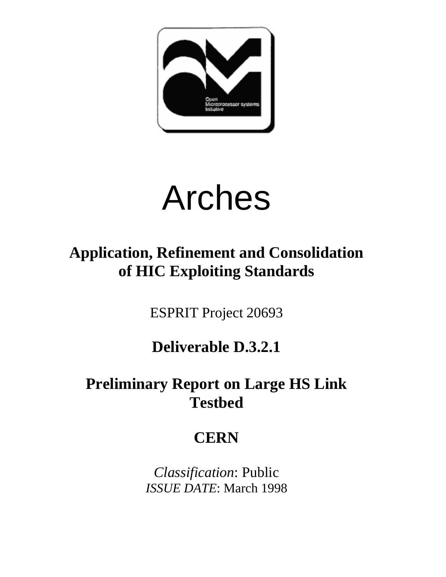

# Arches

# **Application, Refinement and Consolidation of HIC Exploiting Standards**

ESPRIT Project 20693

## **Deliverable D.3.2.1**

## **Preliminary Report on Large HS Link Testbed**

# **CERN**

*Classification*: Public *ISSUE DATE*: March 1998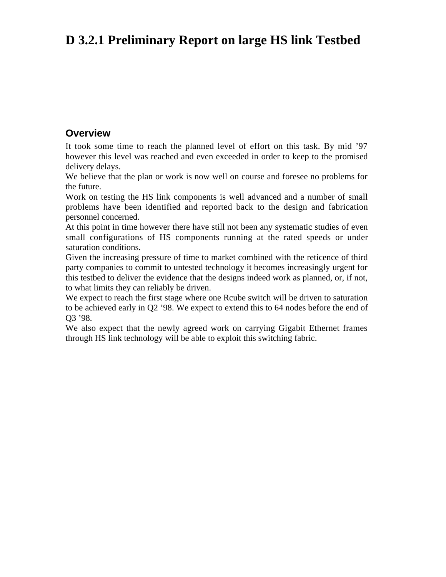### **D 3.2.1 Preliminary Report on large HS link Testbed**

#### **Overview**

It took some time to reach the planned level of effort on this task. By mid '97 however this level was reached and even exceeded in order to keep to the promised delivery delays.

We believe that the plan or work is now well on course and foresee no problems for the future.

Work on testing the HS link components is well advanced and a number of small problems have been identified and reported back to the design and fabrication personnel concerned.

At this point in time however there have still not been any systematic studies of even small configurations of HS components running at the rated speeds or under saturation conditions.

Given the increasing pressure of time to market combined with the reticence of third party companies to commit to untested technology it becomes increasingly urgent for this testbed to deliver the evidence that the designs indeed work as planned, or, if not, to what limits they can reliably be driven.

We expect to reach the first stage where one Rcube switch will be driven to saturation to be achieved early in Q2 '98. We expect to extend this to 64 nodes before the end of Q3 '98.

We also expect that the newly agreed work on carrying Gigabit Ethernet frames through HS link technology will be able to exploit this switching fabric.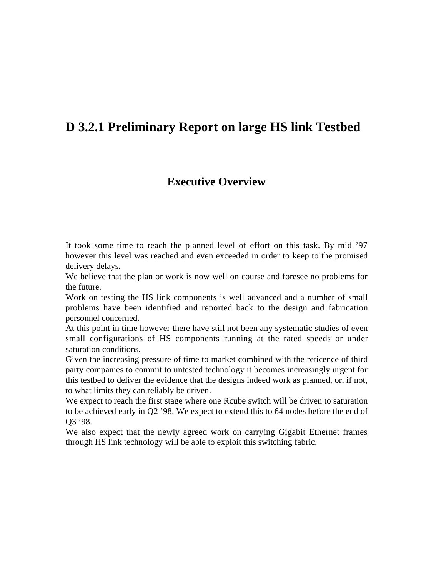### **D 3.2.1 Preliminary Report on large HS link Testbed**

### **Executive Overview**

It took some time to reach the planned level of effort on this task. By mid '97 however this level was reached and even exceeded in order to keep to the promised delivery delays.

We believe that the plan or work is now well on course and foresee no problems for the future.

Work on testing the HS link components is well advanced and a number of small problems have been identified and reported back to the design and fabrication personnel concerned.

At this point in time however there have still not been any systematic studies of even small configurations of HS components running at the rated speeds or under saturation conditions.

Given the increasing pressure of time to market combined with the reticence of third party companies to commit to untested technology it becomes increasingly urgent for this testbed to deliver the evidence that the designs indeed work as planned, or, if not, to what limits they can reliably be driven.

We expect to reach the first stage where one Rcube switch will be driven to saturation to be achieved early in Q2 '98. We expect to extend this to 64 nodes before the end of Q3 '98.

We also expect that the newly agreed work on carrying Gigabit Ethernet frames through HS link technology will be able to exploit this switching fabric.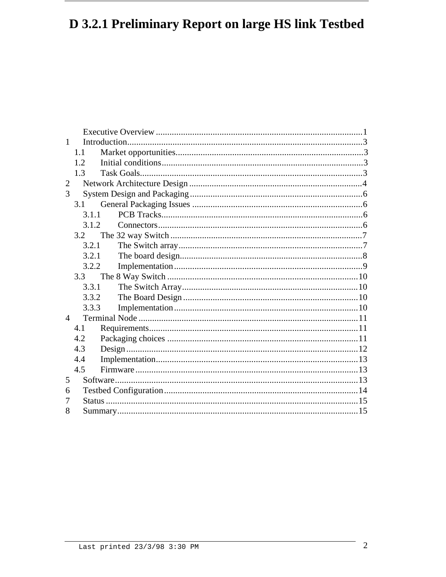### D 3.2.1 Preliminary Report on large HS link Testbed

| 1              |       |  |
|----------------|-------|--|
|                | 1.1   |  |
|                | 12    |  |
|                | 1.3   |  |
| $\overline{2}$ |       |  |
| 3              |       |  |
|                | 3.1   |  |
|                | 3.1.1 |  |
|                | 3.1.2 |  |
|                | 3.2   |  |
|                | 3.2.1 |  |
|                | 3.2.1 |  |
|                | 3.2.2 |  |
|                | 3.3   |  |
|                | 3.3.1 |  |
|                | 3.3.2 |  |
|                | 3.3.3 |  |
| $\Delta$       |       |  |
|                | 4.1   |  |
|                | 4.2   |  |
|                | 4.3   |  |
|                | 4.4   |  |
|                | 4.5   |  |
| 5              |       |  |
| 6              |       |  |
| 7              |       |  |
| 8              |       |  |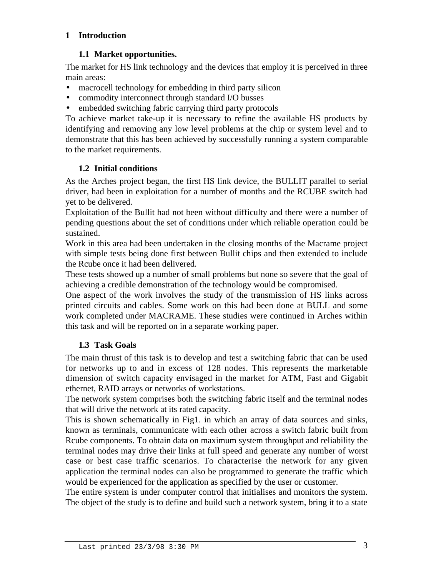#### **1 Introduction**

#### **1.1 Market opportunities.**

The market for HS link technology and the devices that employ it is perceived in three main areas:

- macrocell technology for embedding in third party silicon
- commodity interconnect through standard I/O busses
- embedded switching fabric carrying third party protocols

To achieve market take-up it is necessary to refine the available HS products by identifying and removing any low level problems at the chip or system level and to demonstrate that this has been achieved by successfully running a system comparable to the market requirements.

#### **1.2 Initial conditions**

As the Arches project began, the first HS link device, the BULLIT parallel to serial driver, had been in exploitation for a number of months and the RCUBE switch had yet to be delivered.

Exploitation of the Bullit had not been without difficulty and there were a number of pending questions about the set of conditions under which reliable operation could be sustained.

Work in this area had been undertaken in the closing months of the Macrame project with simple tests being done first between Bullit chips and then extended to include the Rcube once it had been delivered.

These tests showed up a number of small problems but none so severe that the goal of achieving a credible demonstration of the technology would be compromised.

One aspect of the work involves the study of the transmission of HS links across printed circuits and cables. Some work on this had been done at BULL and some work completed under MACRAME. These studies were continued in Arches within this task and will be reported on in a separate working paper.

#### **1.3 Task Goals**

The main thrust of this task is to develop and test a switching fabric that can be used for networks up to and in excess of 128 nodes. This represents the marketable dimension of switch capacity envisaged in the market for ATM, Fast and Gigabit ethernet, RAID arrays or networks of workstations.

The network system comprises both the switching fabric itself and the terminal nodes that will drive the network at its rated capacity.

This is shown schematically in Fig1. in which an array of data sources and sinks, known as terminals, communicate with each other across a switch fabric built from Rcube components. To obtain data on maximum system throughput and reliability the terminal nodes may drive their links at full speed and generate any number of worst case or best case traffic scenarios. To characterise the network for any given application the terminal nodes can also be programmed to generate the traffic which would be experienced for the application as specified by the user or customer.

The entire system is under computer control that initialises and monitors the system. The object of the study is to define and build such a network system, bring it to a state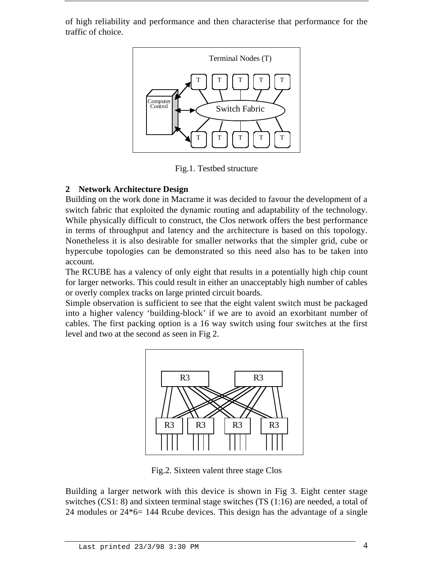of high reliability and performance and then characterise that performance for the traffic of choice.



Fig.1. Testbed structure

#### **2 Network Architecture Design**

Building on the work done in Macrame it was decided to favour the development of a switch fabric that exploited the dynamic routing and adaptability of the technology. While physically difficult to construct, the Clos network offers the best performance in terms of throughput and latency and the architecture is based on this topology. Nonetheless it is also desirable for smaller networks that the simpler grid, cube or hypercube topologies can be demonstrated so this need also has to be taken into account.

The RCUBE has a valency of only eight that results in a potentially high chip count for larger networks. This could result in either an unacceptably high number of cables or overly complex tracks on large printed circuit boards.

Simple observation is sufficient to see that the eight valent switch must be packaged into a higher valency 'building-block' if we are to avoid an exorbitant number of cables. The first packing option is a 16 way switch using four switches at the first level and two at the second as seen in Fig 2.



Fig.2. Sixteen valent three stage Clos

Building a larger network with this device is shown in Fig 3. Eight center stage switches  $(CS1: 8)$  and sixteen terminal stage switches  $(TS(1:16))$  are needed, a total of 24 modules or 24\*6= 144 Rcube devices. This design has the advantage of a single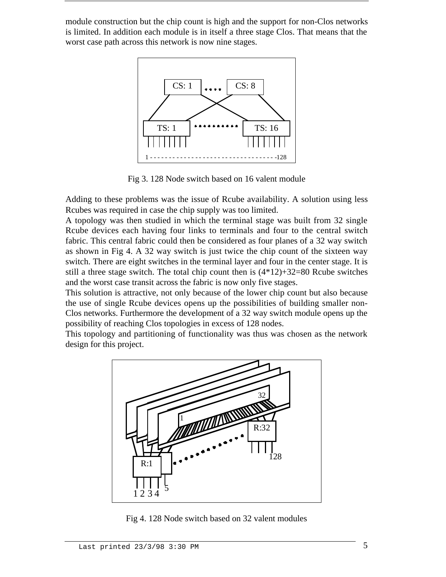module construction but the chip count is high and the support for non-Clos networks is limited. In addition each module is in itself a three stage Clos. That means that the worst case path across this network is now nine stages.



Fig 3. 128 Node switch based on 16 valent module

Adding to these problems was the issue of Rcube availability. A solution using less Rcubes was required in case the chip supply was too limited.

A topology was then studied in which the terminal stage was built from 32 single Rcube devices each having four links to terminals and four to the central switch fabric. This central fabric could then be considered as four planes of a 32 way switch as shown in Fig 4. A 32 way switch is just twice the chip count of the sixteen way switch. There are eight switches in the terminal layer and four in the center stage. It is still a three stage switch. The total chip count then is  $(4*12)+32=80$  Rcube switches and the worst case transit across the fabric is now only five stages.

This solution is attractive, not only because of the lower chip count but also because the use of single Rcube devices opens up the possibilities of building smaller non-Clos networks. Furthermore the development of a 32 way switch module opens up the possibility of reaching Clos topologies in excess of 128 nodes.

This topology and partitioning of functionality was thus was chosen as the network design for this project.



Fig 4. 128 Node switch based on 32 valent modules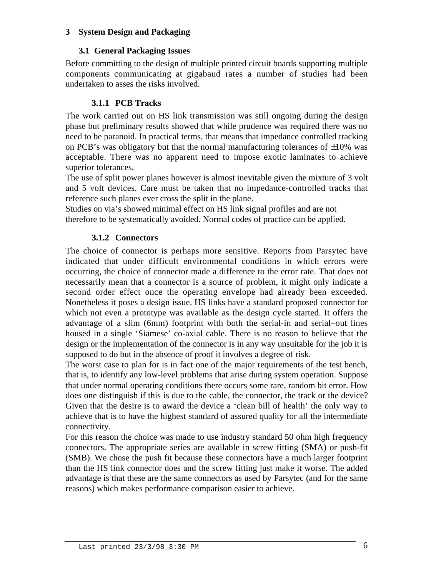#### **3 System Design and Packaging**

#### **3.1 General Packaging Issues**

Before committing to the design of multiple printed circuit boards supporting multiple components communicating at gigabaud rates a number of studies had been undertaken to asses the risks involved.

#### **3.1.1 PCB Tracks**

The work carried out on HS link transmission was still ongoing during the design phase but preliminary results showed that while prudence was required there was no need to be paranoid. In practical terms, that means that impedance controlled tracking on PCB's was obligatory but that the normal manufacturing tolerances of  $\pm 10\%$  was acceptable. There was no apparent need to impose exotic laminates to achieve superior tolerances.

The use of split power planes however is almost inevitable given the mixture of 3 volt and 5 volt devices. Care must be taken that no impedance-controlled tracks that reference such planes ever cross the split in the plane.

Studies on via's showed minimal effect on HS link signal profiles and are not therefore to be systematically avoided. Normal codes of practice can be applied.

#### **3.1.2 Connectors**

The choice of connector is perhaps more sensitive. Reports from Parsytec have indicated that under difficult environmental conditions in which errors were occurring, the choice of connector made a difference to the error rate. That does not necessarily mean that a connector is a source of problem, it might only indicate a second order effect once the operating envelope had already been exceeded. Nonetheless it poses a design issue. HS links have a standard proposed connector for which not even a prototype was available as the design cycle started. It offers the advantage of a slim (6mm) footprint with both the serial-in and serial–out lines housed in a single 'Siamese' co-axial cable. There is no reason to believe that the design or the implementation of the connector is in any way unsuitable for the job it is supposed to do but in the absence of proof it involves a degree of risk.

The worst case to plan for is in fact one of the major requirements of the test bench, that is, to identify any low-level problems that arise during system operation. Suppose that under normal operating conditions there occurs some rare, random bit error. How does one distinguish if this is due to the cable, the connector, the track or the device? Given that the desire is to award the device a 'clean bill of health' the only way to achieve that is to have the highest standard of assured quality for all the intermediate connectivity.

For this reason the choice was made to use industry standard 50 ohm high frequency connectors. The appropriate series are available in screw fitting (SMA) or push-fit (SMB). We chose the push fit because these connectors have a much larger footprint than the HS link connector does and the screw fitting just make it worse. The added advantage is that these are the same connectors as used by Parsytec (and for the same reasons) which makes performance comparison easier to achieve.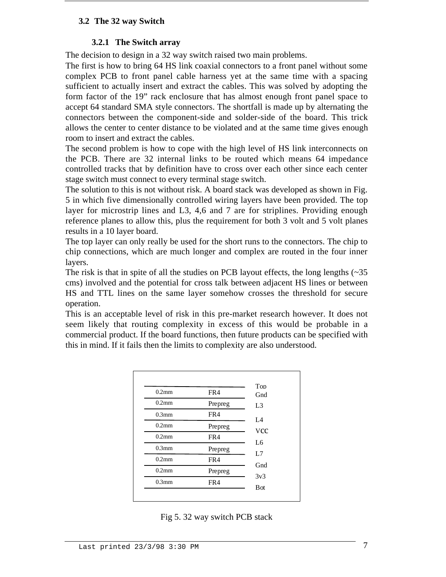#### **3.2 The 32 way Switch**

#### **3.2.1 The Switch array**

The decision to design in a 32 way switch raised two main problems.

The first is how to bring 64 HS link coaxial connectors to a front panel without some complex PCB to front panel cable harness yet at the same time with a spacing sufficient to actually insert and extract the cables. This was solved by adopting the form factor of the 19" rack enclosure that has almost enough front panel space to accept 64 standard SMA style connectors. The shortfall is made up by alternating the connectors between the component-side and solder-side of the board. This trick allows the center to center distance to be violated and at the same time gives enough room to insert and extract the cables.

The second problem is how to cope with the high level of HS link interconnects on the PCB. There are 32 internal links to be routed which means 64 impedance controlled tracks that by definition have to cross over each other since each center stage switch must connect to every terminal stage switch.

The solution to this is not without risk. A board stack was developed as shown in Fig. 5 in which five dimensionally controlled wiring layers have been provided. The top layer for microstrip lines and L3, 4,6 and 7 are for striplines. Providing enough reference planes to allow this, plus the requirement for both 3 volt and 5 volt planes results in a 10 layer board.

The top layer can only really be used for the short runs to the connectors. The chip to chip connections, which are much longer and complex are routed in the four inner layers.

The risk is that in spite of all the studies on PCB layout effects, the long lengths  $(\sim 35)$ cms) involved and the potential for cross talk between adjacent HS lines or between HS and TTL lines on the same layer somehow crosses the threshold for secure operation.

This is an acceptable level of risk in this pre-market research however. It does not seem likely that routing complexity in excess of this would be probable in a commercial product. If the board functions, then future products can be specified with this in mind. If it fails then the limits to complexity are also understood.

| $0.2$ mm | FR4     | Top<br>Gnd       |
|----------|---------|------------------|
| $0.2$ mm | Prepreg | L <sub>3</sub>   |
| $0.3$ mm | FR4     |                  |
| $0.2$ mm | Prepreg | L4<br><b>VCC</b> |
| $0.2$ mm | FR4     | L6               |
| $0.3$ mm | Prepreg | L7               |
| $0.2$ mm | FR4     | Gnd              |
| $0.2$ mm | Prepreg | 3v3              |
| $0.3$ mm | FR4     | <b>B</b> ot      |

Fig 5. 32 way switch PCB stack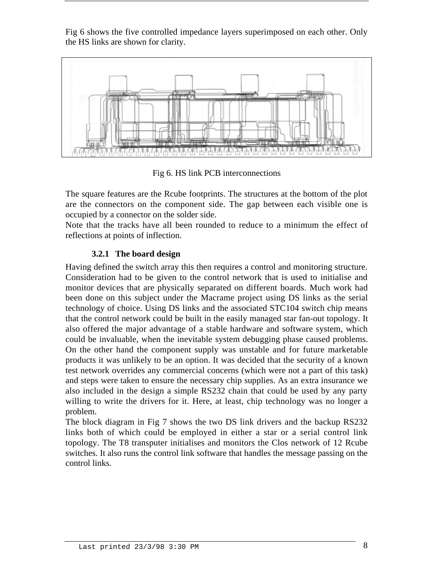Fig 6 shows the five controlled impedance layers superimposed on each other. Only the HS links are shown for clarity.



Fig 6. HS link PCB interconnections

The square features are the Rcube footprints. The structures at the bottom of the plot are the connectors on the component side. The gap between each visible one is occupied by a connector on the solder side.

Note that the tracks have all been rounded to reduce to a minimum the effect of reflections at points of inflection.

#### **3.2.1 The board design**

Having defined the switch array this then requires a control and monitoring structure. Consideration had to be given to the control network that is used to initialise and monitor devices that are physically separated on different boards. Much work had been done on this subject under the Macrame project using DS links as the serial technology of choice. Using DS links and the associated STC104 switch chip means that the control network could be built in the easily managed star fan-out topology. It also offered the major advantage of a stable hardware and software system, which could be invaluable, when the inevitable system debugging phase caused problems. On the other hand the component supply was unstable and for future marketable products it was unlikely to be an option. It was decided that the security of a known test network overrides any commercial concerns (which were not a part of this task) and steps were taken to ensure the necessary chip supplies. As an extra insurance we also included in the design a simple RS232 chain that could be used by any party willing to write the drivers for it. Here, at least, chip technology was no longer a problem.

The block diagram in Fig 7 shows the two DS link drivers and the backup RS232 links both of which could be employed in either a star or a serial control link topology. The T8 transputer initialises and monitors the Clos network of 12 Rcube switches. It also runs the control link software that handles the message passing on the control links.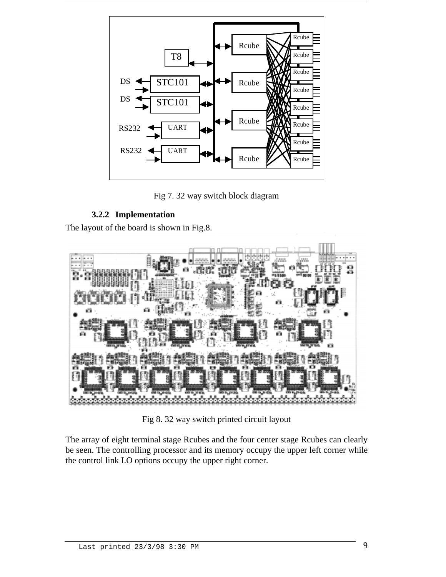

Fig 7. 32 way switch block diagram

#### **3.2.2 Implementation**

The layout of the board is shown in Fig.8.



Fig 8. 32 way switch printed circuit layout

The array of eight terminal stage Rcubes and the four center stage Rcubes can clearly be seen. The controlling processor and its memory occupy the upper left corner while the control link I.O options occupy the upper right corner.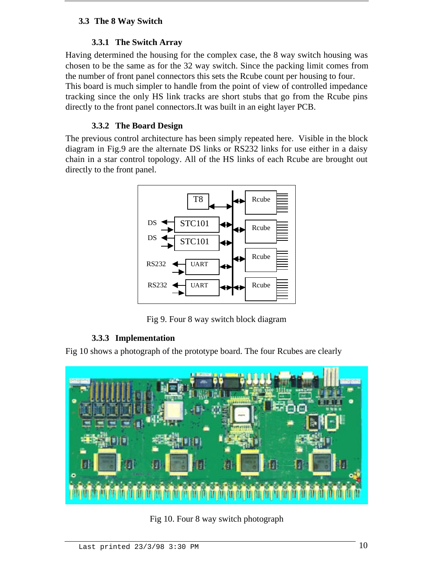#### **3.3 The 8 Way Switch**

#### **3.3.1 The Switch Array**

Having determined the housing for the complex case, the 8 way switch housing was chosen to be the same as for the 32 way switch. Since the packing limit comes from the number of front panel connectors this sets the Rcube count per housing to four. This board is much simpler to handle from the point of view of controlled impedance tracking since the only HS link tracks are short stubs that go from the Rcube pins directly to the front panel connectors.It was built in an eight layer PCB.

#### **3.3.2 The Board Design**

The previous control architecture has been simply repeated here. Visible in the block diagram in Fig.9 are the alternate DS links or RS232 links for use either in a daisy chain in a star control topology. All of the HS links of each Rcube are brought out directly to the front panel.



Fig 9. Four 8 way switch block diagram

#### **3.3.3 Implementation**

Fig 10 shows a photograph of the prototype board. The four Rcubes are clearly



Fig 10. Four 8 way switch photograph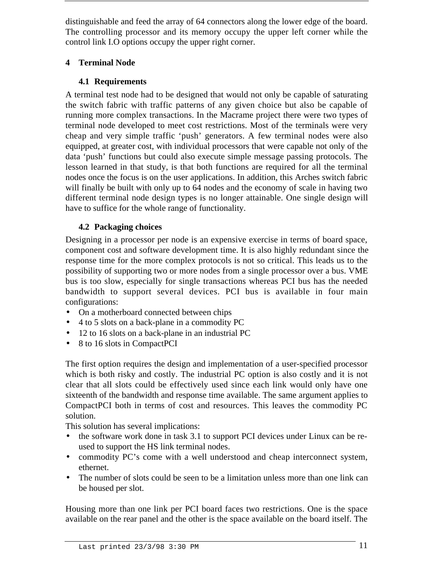distinguishable and feed the array of 64 connectors along the lower edge of the board. The controlling processor and its memory occupy the upper left corner while the control link I.O options occupy the upper right corner.

#### **4 Terminal Node**

#### **4.1 Requirements**

A terminal test node had to be designed that would not only be capable of saturating the switch fabric with traffic patterns of any given choice but also be capable of running more complex transactions. In the Macrame project there were two types of terminal node developed to meet cost restrictions. Most of the terminals were very cheap and very simple traffic 'push' generators. A few terminal nodes were also equipped, at greater cost, with individual processors that were capable not only of the data 'push' functions but could also execute simple message passing protocols. The lesson learned in that study, is that both functions are required for all the terminal nodes once the focus is on the user applications. In addition, this Arches switch fabric will finally be built with only up to 64 nodes and the economy of scale in having two different terminal node design types is no longer attainable. One single design will have to suffice for the whole range of functionality.

#### **4.2 Packaging choices**

Designing in a processor per node is an expensive exercise in terms of board space, component cost and software development time. It is also highly redundant since the response time for the more complex protocols is not so critical. This leads us to the possibility of supporting two or more nodes from a single processor over a bus. VME bus is too slow, especially for single transactions whereas PCI bus has the needed bandwidth to support several devices. PCI bus is available in four main configurations:

- On a motherboard connected between chips
- 4 to 5 slots on a back-plane in a commodity PC
- 12 to 16 slots on a back-plane in an industrial PC
- 8 to 16 slots in CompactPCI

The first option requires the design and implementation of a user-specified processor which is both risky and costly. The industrial PC option is also costly and it is not clear that all slots could be effectively used since each link would only have one sixteenth of the bandwidth and response time available. The same argument applies to CompactPCI both in terms of cost and resources. This leaves the commodity PC solution.

This solution has several implications:

- the software work done in task 3.1 to support PCI devices under Linux can be reused to support the HS link terminal nodes.
- commodity PC's come with a well understood and cheap interconnect system, ethernet.
- The number of slots could be seen to be a limitation unless more than one link can be housed per slot.

Housing more than one link per PCI board faces two restrictions. One is the space available on the rear panel and the other is the space available on the board itself. The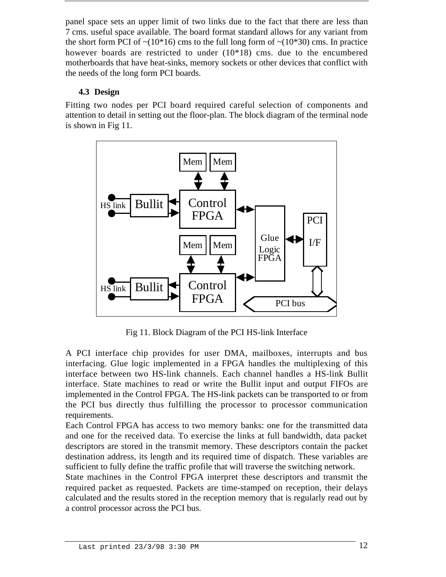panel space sets an upper limit of two links due to the fact that there are less than 7 cms. useful space available. The board format standard allows for any variant from the short form PCI of  $\sim (10*16)$  cms to the full long form of  $\sim (10*30)$  cms. In practice however boards are restricted to under  $(10*18)$  cms. due to the encumbered motherboards that have heat-sinks, memory sockets or other devices that conflict with the needs of the long form PCI boards.

#### **4.3 Design**

Fitting two nodes per PCI board required careful selection of components and attention to detail in setting out the floor-plan. The block diagram of the terminal node is shown in Fig 11.



Fig 11. Block Diagram of the PCI HS-link Interface

A PCI interface chip provides for user DMA, mailboxes, interrupts and bus interfacing. Glue logic implemented in a FPGA handles the multiplexing of this interface between two HS-link channels. Each channel handles a HS-link Bullit interface. State machines to read or write the Bullit input and output FIFOs are implemented in the Control FPGA. The HS-link packets can be transported to or from the PCI bus directly thus fulfilling the processor to processor communication requirements.

Each Control FPGA has access to two memory banks: one for the transmitted data and one for the received data. To exercise the links at full bandwidth, data packet descriptors are stored in the transmit memory. These descriptors contain the packet destination address, its length and its required time of dispatch. These variables are sufficient to fully define the traffic profile that will traverse the switching network.

State machines in the Control FPGA interpret these descriptors and transmit the required packet as requested. Packets are time-stamped on reception, their delays calculated and the results stored in the reception memory that is regularly read out by a control processor across the PCI bus.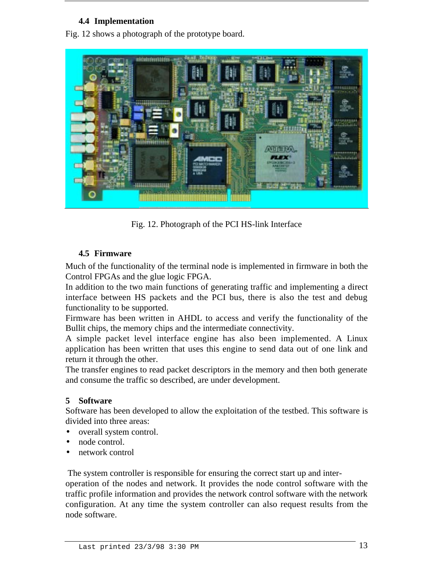#### **4.4 Implementation**

Fig. 12 shows a photograph of the prototype board.



Fig. 12. Photograph of the PCI HS-link Interface

#### **4.5 Firmware**

Much of the functionality of the terminal node is implemented in firmware in both the Control FPGAs and the glue logic FPGA.

In addition to the two main functions of generating traffic and implementing a direct interface between HS packets and the PCI bus, there is also the test and debug functionality to be supported.

Firmware has been written in AHDL to access and verify the functionality of the Bullit chips, the memory chips and the intermediate connectivity.

A simple packet level interface engine has also been implemented. A Linux application has been written that uses this engine to send data out of one link and return it through the other.

The transfer engines to read packet descriptors in the memory and then both generate and consume the traffic so described, are under development.

#### **5 Software**

Software has been developed to allow the exploitation of the testbed. This software is divided into three areas:

- overall system control.
- node control.
- network control

The system controller is responsible for ensuring the correct start up and inter-

operation of the nodes and network. It provides the node control software with the traffic profile information and provides the network control software with the network configuration. At any time the system controller can also request results from the node software.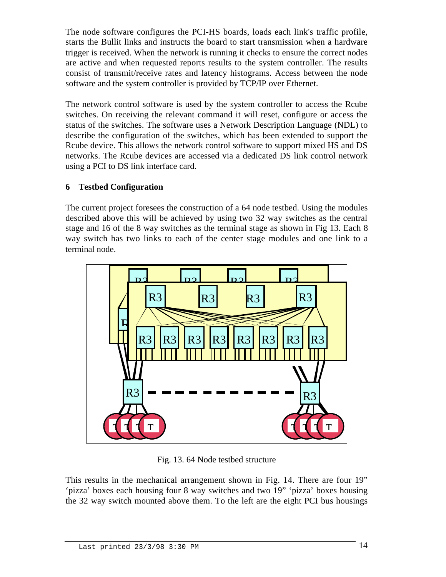The node software configures the PCI-HS boards, loads each link's traffic profile, starts the Bullit links and instructs the board to start transmission when a hardware trigger is received. When the network is running it checks to ensure the correct nodes are active and when requested reports results to the system controller. The results consist of transmit/receive rates and latency histograms. Access between the node software and the system controller is provided by TCP/IP over Ethernet.

The network control software is used by the system controller to access the Rcube switches. On receiving the relevant command it will reset, configure or access the status of the switches. The software uses a Network Description Language (NDL) to describe the configuration of the switches, which has been extended to support the Rcube device. This allows the network control software to support mixed HS and DS networks. The Rcube devices are accessed via a dedicated DS link control network using a PCI to DS link interface card.

#### **6 Testbed Configuration**

The current project foresees the construction of a 64 node testbed. Using the modules described above this will be achieved by using two 32 way switches as the central stage and 16 of the 8 way switches as the terminal stage as shown in Fig 13. Each 8 way switch has two links to each of the center stage modules and one link to a terminal node.



Fig. 13. 64 Node testbed structure

This results in the mechanical arrangement shown in Fig. 14. There are four 19" 'pizza' boxes each housing four 8 way switches and two 19" 'pizza' boxes housing the 32 way switch mounted above them. To the left are the eight PCI bus housings